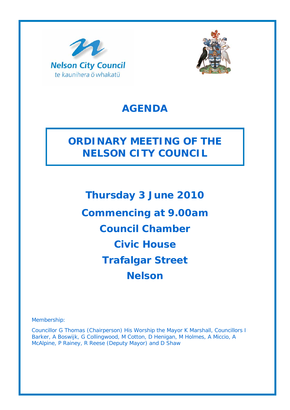



## **AGENDA**

# **ORDINARY MEETING OF THE NELSON CITY COUNCIL**

**Thursday 3 June 2010 Commencing at 9.00am Council Chamber Civic House Trafalgar Street Nelson** 

Membership:

Councillor G Thomas (Chairperson) His Worship the Mayor K Marshall, Councillors I Barker, A Boswijk, G Collingwood, M Cotton, D Henigan, M Holmes, A Miccio, A McAlpine, P Rainey, R Reese (Deputy Mayor) and D Shaw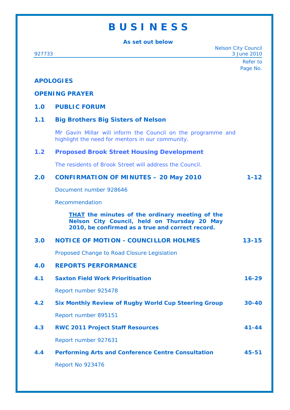## **B U S I N E S S**

**As set out below** 

Nelson City Council 927733 3 June 2010 Refer to Page No. **APOLOGIES OPENING PRAYER 1.0 PUBLIC FORUM 1.1 Big Brothers Big Sisters of Nelson**  Mr Gavin Millar will inform the Council on the programme and highlight the need for mentors in our community. **1.2 Proposed Brook Street Housing Development**  The residents of Brook Street will address the Council. **2.0 CONFIRMATION OF MINUTES – 20 May 2010 1-12**  Document number 928646 Recommendation *THAT the minutes of the ordinary meeting of the Nelson City Council, held on Thursday 20 May 2010, be confirmed as a true and correct record.* **3.0 NOTICE OF MOTION - COUNCILLOR HOLMES 13-15**  Proposed Change to Road Closure Legislation **4.0 REPORTS PERFORMANCE 4.1 Saxton Field Work Prioritisation 16-29**  Report number 925478 **4.2 Six Monthly Review of Rugby World Cup Steering Group 30-40**  Report number 895151 **4.3 RWC 2011 Project Staff Resources 41-44**  Report number 927631 **4.4 Performing Arts and Conference Centre Consultation 45-51**  Report No 923476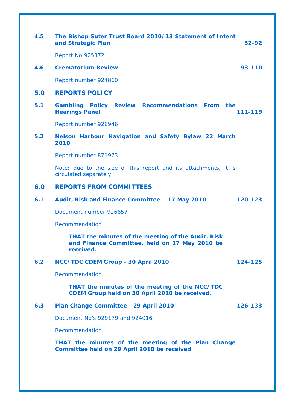| 4.5 | The Bishop Suter Trust Board 2010/13 Statement of Intent<br>and Strategic Plan<br>52-92                                 |
|-----|-------------------------------------------------------------------------------------------------------------------------|
|     | <b>Report No 925372</b>                                                                                                 |
| 4.6 | <b>Crematorium Review</b><br>93-110                                                                                     |
|     | Report number 924860                                                                                                    |
| 5.0 | <b>REPORTS POLICY</b>                                                                                                   |
| 5.1 | Gambling Policy Review Recommendations From the<br><b>Hearings Panel</b><br>111-119                                     |
|     | Report number 926946                                                                                                    |
| 5.2 | Nelson Harbour Navigation and Safety Bylaw 22 March<br>2010                                                             |
|     | Report number 871973                                                                                                    |
|     | Note: due to the size of this report and its attachments, it is<br>circulated separately.                               |
| 6.0 | <b>REPORTS FROM COMMITTEES</b>                                                                                          |
| 6.1 | Audit, Risk and Finance Committee - 17 May 2010<br>120-123                                                              |
|     | Document number 926657                                                                                                  |
|     | Recommendation                                                                                                          |
|     | <b>THAT</b> the minutes of the meeting of the Audit, Risk<br>and Finance Committee, held on 17 May 2010 be<br>received. |
| 6.2 | NCC/TDC CDEM Group - 30 April 2010<br>124-125                                                                           |
|     | Recommendation                                                                                                          |
|     | <b>THAT the minutes of the meeting of the NCC/TDC</b><br>CDEM Group held on 30 April 2010 be received.                  |
| 6.3 | Plan Change Committee - 29 April 2010<br>126-133                                                                        |
|     | Document No's 929179 and 924016                                                                                         |
|     | Recommendation                                                                                                          |
|     | <b>THAT</b> the minutes of the meeting of the Plan Change<br>Committee held on 29 April 2010 be received                |